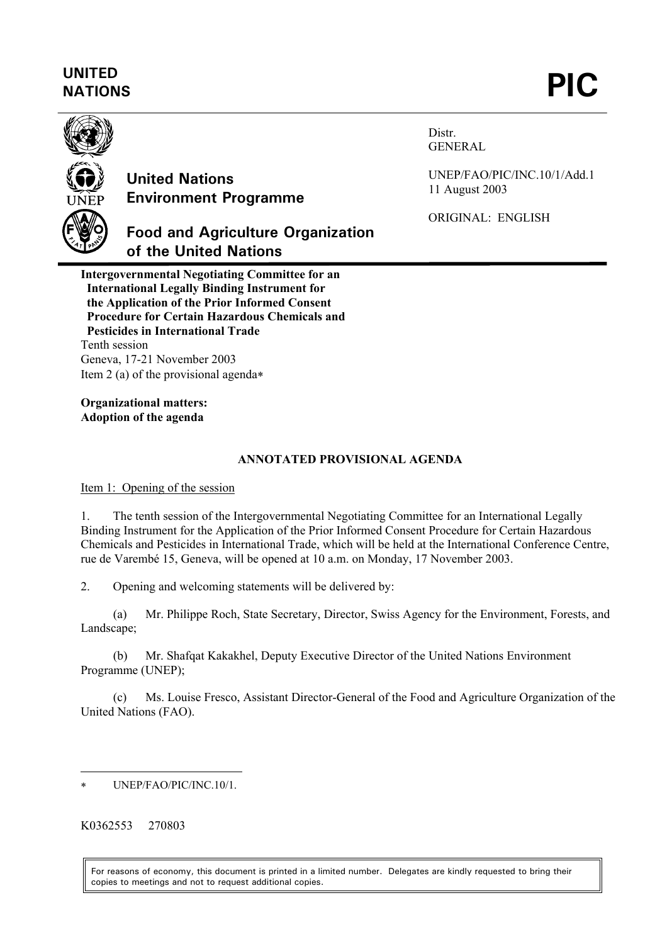# **UNITED**  UNITED<br>NATIONS **PIC**



## **United Nations Environment Programme**

**of the United Nations**

**Food and Agriculture Organization** 

Distr. GENERAL

UNEP/FAO/PIC/INC.10/1/Add.1 11 August 2003

ORIGINAL: ENGLISH

**Intergovernmental Negotiating Committee for an International Legally Binding Instrument for the Application of the Prior Informed Consent Procedure for Certain Hazardous Chemicals and Pesticides in International Trade**  Tenth session Geneva, 17-21 November 2003 Item 2 (a) of the provisional agenda[∗](#page-0-0)

**Organizational matters: Adoption of the agenda** 

#### **ANNOTATED PROVISIONAL AGENDA**

Item 1: Opening of the session

1. The tenth session of the Intergovernmental Negotiating Committee for an International Legally Binding Instrument for the Application of the Prior Informed Consent Procedure for Certain Hazardous Chemicals and Pesticides in International Trade, which will be held at the International Conference Centre, rue de Varembé 15, Geneva, will be opened at 10 a.m. on Monday, 17 November 2003.

2. Opening and welcoming statements will be delivered by:

(a) Mr. Philippe Roch, State Secretary, Director, Swiss Agency for the Environment, Forests, and Landscape;

(b) Mr. Shafqat Kakakhel, Deputy Executive Director of the United Nations Environment Programme (UNEP);

(c) Ms. Louise Fresco, Assistant Director-General of the Food and Agriculture Organization of the United Nations (FAO).

K0362553 270803

l

For reasons of economy, this document is printed in a limited number. Delegates are kindly requested to bring their copies to meetings and not to request additional copies.

<span id="page-0-0"></span><sup>∗</sup> UNEP/FAO/PIC/INC.10/1.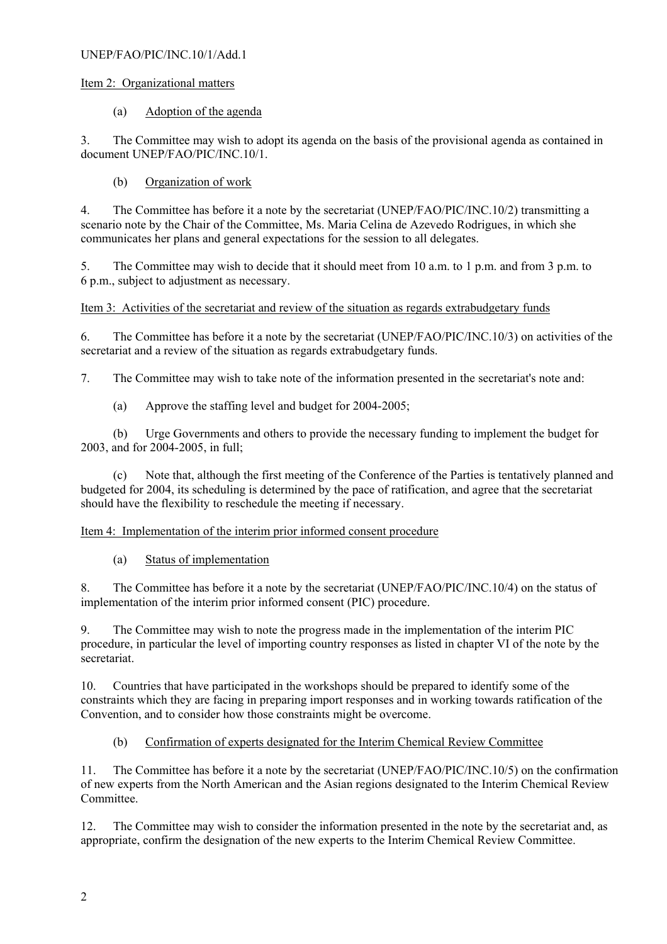#### UNEP/FAO/PIC/INC.10/1/Add.1

#### Item 2: Organizational matters

#### (a) Adoption of the agenda

3. The Committee may wish to adopt its agenda on the basis of the provisional agenda as contained in document UNEP/FAO/PIC/INC.10/1.

## (b) Organization of work

4. The Committee has before it a note by the secretariat (UNEP/FAO/PIC/INC.10/2) transmitting a scenario note by the Chair of the Committee, Ms. Maria Celina de Azevedo Rodrigues, in which she communicates her plans and general expectations for the session to all delegates.

5. The Committee may wish to decide that it should meet from 10 a.m. to 1 p.m. and from 3 p.m. to 6 p.m., subject to adjustment as necessary.

## Item 3: Activities of the secretariat and review of the situation as regards extrabudgetary funds

6. The Committee has before it a note by the secretariat (UNEP/FAO/PIC/INC.10/3) on activities of the secretariat and a review of the situation as regards extrabudgetary funds.

7. The Committee may wish to take note of the information presented in the secretariat's note and:

(a) Approve the staffing level and budget for 2004-2005;

(b) Urge Governments and others to provide the necessary funding to implement the budget for 2003, and for 2004-2005, in full;

(c) Note that, although the first meeting of the Conference of the Parties is tentatively planned and budgeted for 2004, its scheduling is determined by the pace of ratification, and agree that the secretariat should have the flexibility to reschedule the meeting if necessary.

## Item 4: Implementation of the interim prior informed consent procedure

## (a) Status of implementation

8. The Committee has before it a note by the secretariat (UNEP/FAO/PIC/INC.10/4) on the status of implementation of the interim prior informed consent (PIC) procedure.

9. The Committee may wish to note the progress made in the implementation of the interim PIC procedure, in particular the level of importing country responses as listed in chapter VI of the note by the secretariat.

10. Countries that have participated in the workshops should be prepared to identify some of the constraints which they are facing in preparing import responses and in working towards ratification of the Convention, and to consider how those constraints might be overcome.

## (b) Confirmation of experts designated for the Interim Chemical Review Committee

11. The Committee has before it a note by the secretariat (UNEP/FAO/PIC/INC.10/5) on the confirmation of new experts from the North American and the Asian regions designated to the Interim Chemical Review Committee.

12. The Committee may wish to consider the information presented in the note by the secretariat and, as appropriate, confirm the designation of the new experts to the Interim Chemical Review Committee.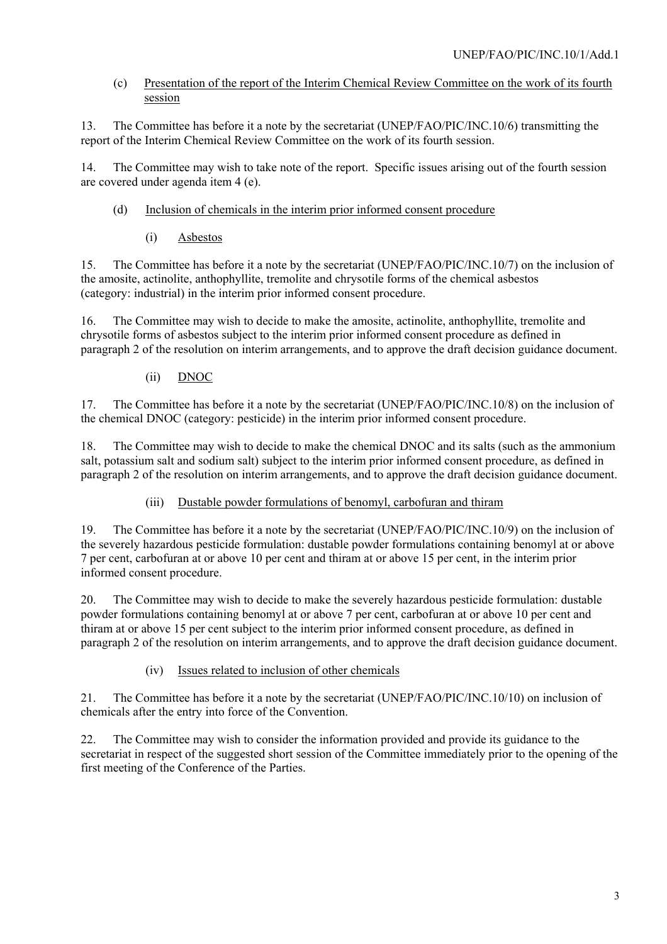## (c) Presentation of the report of the Interim Chemical Review Committee on the work of its fourth session

13. The Committee has before it a note by the secretariat (UNEP/FAO/PIC/INC.10/6) transmitting the report of the Interim Chemical Review Committee on the work of its fourth session.

14. The Committee may wish to take note of the report. Specific issues arising out of the fourth session are covered under agenda item 4 (e).

- (d) Inclusion of chemicals in the interim prior informed consent procedure
	- (i) Asbestos

15. The Committee has before it a note by the secretariat (UNEP/FAO/PIC/INC.10/7) on the inclusion of the amosite, actinolite, anthophyllite, tremolite and chrysotile forms of the chemical asbestos (category: industrial) in the interim prior informed consent procedure.

16. The Committee may wish to decide to make the amosite, actinolite, anthophyllite, tremolite and chrysotile forms of asbestos subject to the interim prior informed consent procedure as defined in paragraph 2 of the resolution on interim arrangements, and to approve the draft decision guidance document.

## (ii) DNOC

17. The Committee has before it a note by the secretariat (UNEP/FAO/PIC/INC.10/8) on the inclusion of the chemical DNOC (category: pesticide) in the interim prior informed consent procedure.

18. The Committee may wish to decide to make the chemical DNOC and its salts (such as the ammonium salt, potassium salt and sodium salt) subject to the interim prior informed consent procedure, as defined in paragraph 2 of the resolution on interim arrangements, and to approve the draft decision guidance document.

## (iii) Dustable powder formulations of benomyl, carbofuran and thiram

19. The Committee has before it a note by the secretariat (UNEP/FAO/PIC/INC.10/9) on the inclusion of the severely hazardous pesticide formulation: dustable powder formulations containing benomyl at or above 7 per cent, carbofuran at or above 10 per cent and thiram at or above 15 per cent, in the interim prior informed consent procedure.

20. The Committee may wish to decide to make the severely hazardous pesticide formulation: dustable powder formulations containing benomyl at or above 7 per cent, carbofuran at or above 10 per cent and thiram at or above 15 per cent subject to the interim prior informed consent procedure, as defined in paragraph 2 of the resolution on interim arrangements, and to approve the draft decision guidance document.

## (iv) Issues related to inclusion of other chemicals

21. The Committee has before it a note by the secretariat (UNEP/FAO/PIC/INC.10/10) on inclusion of chemicals after the entry into force of the Convention.

22. The Committee may wish to consider the information provided and provide its guidance to the secretariat in respect of the suggested short session of the Committee immediately prior to the opening of the first meeting of the Conference of the Parties.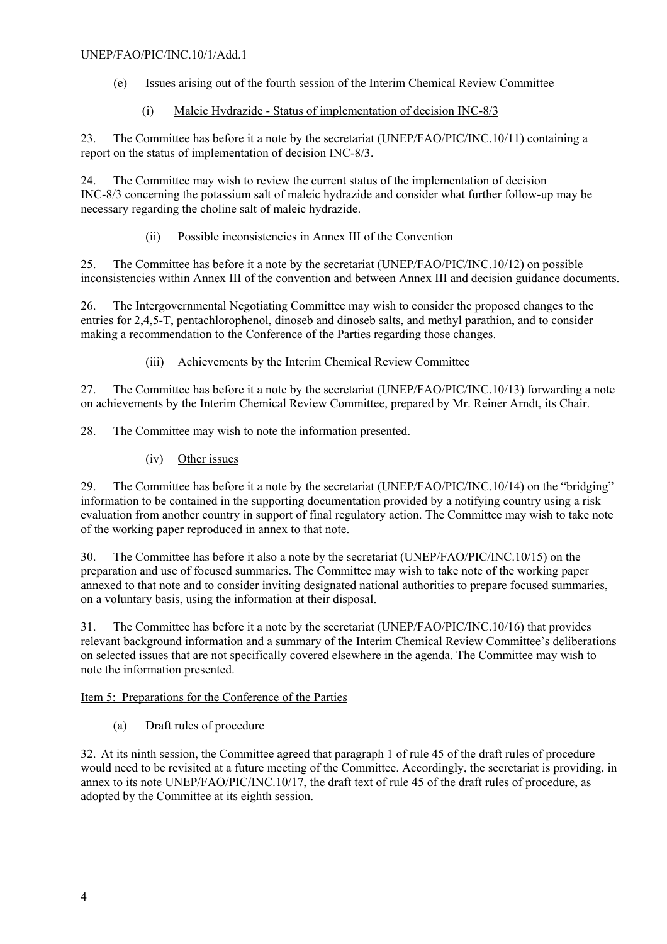#### UNEP/FAO/PIC/INC.10/1/Add.1

#### (e) Issues arising out of the fourth session of the Interim Chemical Review Committee

## (i) Maleic Hydrazide - Status of implementation of decision INC-8/3

23. The Committee has before it a note by the secretariat (UNEP/FAO/PIC/INC.10/11) containing a report on the status of implementation of decision INC-8/3.

24. The Committee may wish to review the current status of the implementation of decision INC-8/3 concerning the potassium salt of maleic hydrazide and consider what further follow-up may be necessary regarding the choline salt of maleic hydrazide.

## (ii) Possible inconsistencies in Annex III of the Convention

25. The Committee has before it a note by the secretariat (UNEP/FAO/PIC/INC.10/12) on possible inconsistencies within Annex III of the convention and between Annex III and decision guidance documents.

26. The Intergovernmental Negotiating Committee may wish to consider the proposed changes to the entries for 2,4,5-T, pentachlorophenol, dinoseb and dinoseb salts, and methyl parathion, and to consider making a recommendation to the Conference of the Parties regarding those changes.

## (iii) Achievements by the Interim Chemical Review Committee

27. The Committee has before it a note by the secretariat (UNEP/FAO/PIC/INC.10/13) forwarding a note on achievements by the Interim Chemical Review Committee, prepared by Mr. Reiner Arndt, its Chair.

28. The Committee may wish to note the information presented.

(iv) Other issues

29. The Committee has before it a note by the secretariat (UNEP/FAO/PIC/INC.10/14) on the "bridging" information to be contained in the supporting documentation provided by a notifying country using a risk evaluation from another country in support of final regulatory action. The Committee may wish to take note of the working paper reproduced in annex to that note.

30. The Committee has before it also a note by the secretariat (UNEP/FAO/PIC/INC.10/15) on the preparation and use of focused summaries. The Committee may wish to take note of the working paper annexed to that note and to consider inviting designated national authorities to prepare focused summaries, on a voluntary basis, using the information at their disposal.

31. The Committee has before it a note by the secretariat (UNEP/FAO/PIC/INC.10/16) that provides relevant background information and a summary of the Interim Chemical Review Committee's deliberations on selected issues that are not specifically covered elsewhere in the agenda. The Committee may wish to note the information presented.

## Item 5: Preparations for the Conference of the Parties

## (a) Draft rules of procedure

32. At its ninth session, the Committee agreed that paragraph 1 of rule 45 of the draft rules of procedure would need to be revisited at a future meeting of the Committee. Accordingly, the secretariat is providing, in annex to its note UNEP/FAO/PIC/INC.10/17, the draft text of rule 45 of the draft rules of procedure, as adopted by the Committee at its eighth session.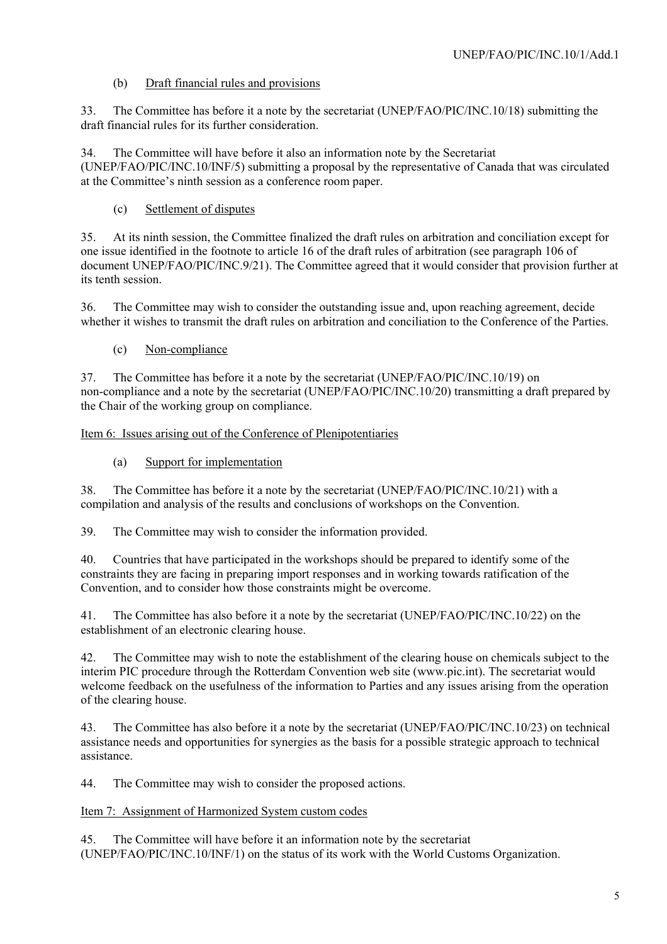## (b) Draft financial rules and provisions

33. The Committee has before it a note by the secretariat (UNEP/FAO/PIC/INC.10/18) submitting the draft financial rules for its further consideration.

34. The Committee will have before it also an information note by the Secretariat (UNEP/FAO/PIC/INC.10/INF/5) submitting a proposal by the representative of Canada that was circulated at the Committee's ninth session as a conference room paper.

## (c) Settlement of disputes

35. At its ninth session, the Committee finalized the draft rules on arbitration and conciliation except for one issue identified in the footnote to article 16 of the draft rules of arbitration (see paragraph 106 of document UNEP/FAO/PIC/INC.9/21). The Committee agreed that it would consider that provision further at its tenth session.

36. The Committee may wish to consider the outstanding issue and, upon reaching agreement, decide whether it wishes to transmit the draft rules on arbitration and conciliation to the Conference of the Parties.

(c) Non-compliance

37. The Committee has before it a note by the secretariat (UNEP/FAO/PIC/INC.10/19) on non-compliance and a note by the secretariat (UNEP/FAO/PIC/INC.10/20) transmitting a draft prepared by the Chair of the working group on compliance.

#### Item 6: Issues arising out of the Conference of Plenipotentiaries

## (a) Support for implementation

38. The Committee has before it a note by the secretariat (UNEP/FAO/PIC/INC.10/21) with a compilation and analysis of the results and conclusions of workshops on the Convention.

39. The Committee may wish to consider the information provided.

40. Countries that have participated in the workshops should be prepared to identify some of the constraints they are facing in preparing import responses and in working towards ratification of the Convention, and to consider how those constraints might be overcome.

41. The Committee has also before it a note by the secretariat (UNEP/FAO/PIC/INC.10/22) on the establishment of an electronic clearing house.

42. The Committee may wish to note the establishment of the clearing house on chemicals subject to the interim PIC procedure through the Rotterdam Convention web site (www.pic.int). The secretariat would welcome feedback on the usefulness of the information to Parties and any issues arising from the operation of the clearing house.

43. The Committee has also before it a note by the secretariat (UNEP/FAO/PIC/INC.10/23) on technical assistance needs and opportunities for synergies as the basis for a possible strategic approach to technical assistance.

44. The Committee may wish to consider the proposed actions.

## Item 7: Assignment of Harmonized System custom codes

45. The Committee will have before it an information note by the secretariat (UNEP/FAO/PIC/INC.10/INF/1) on the status of its work with the World Customs Organization.